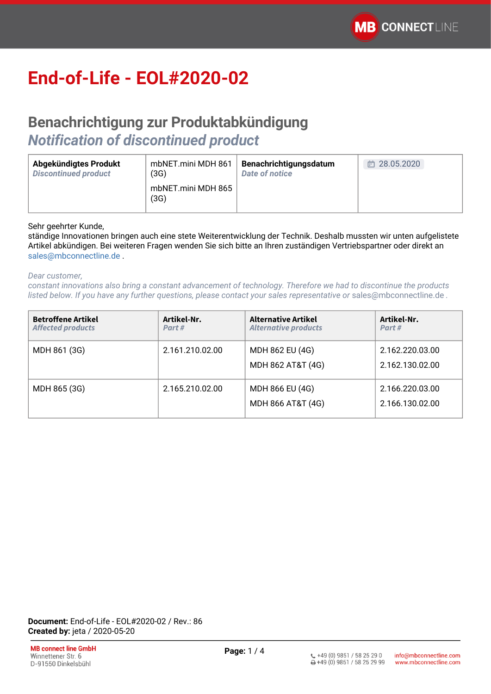# **End-of-Life - EOL#2020-02**

### **Benachrichtigung zur Produktabkündigung**  *Notification of discontinued product*

| Abgekündigtes Produkt       | mbNET.mini MDH 861         | Benachrichtigungsdatum | 28.05.2020 |
|-----------------------------|----------------------------|------------------------|------------|
| <b>Discontinued product</b> | (3G)                       | Date of notice         | Ē          |
|                             | mbNET.mini MDH 865<br>(3G) |                        |            |

#### Sehr geehrter Kunde,

ständige Innovationen bringen auch eine stete Weiterentwicklung der Technik. Deshalb mussten wir unten aufgelistete Artikel abkündigen. Bei weiteren Fragen wenden Sie sich bitte an Ihren zuständigen Vertriebspartner oder direkt an [sales@mbconnectline.de](mailto:sales@mbconnectline.de) .

#### *Dear customer,*

*constant innovations also bring a constant advancement of technology. Therefore we had to discontinue the products listed below. If you have any further questions, please contact your sales representative or* [sales@mbconnectline.de](mailto:sales@mbconnectline.de) *.*

| <b>Betroffene Artikel</b><br><b>Affected products</b> | Artikel-Nr.<br>Part# | <b>Alternative Artikel</b><br><b>Alternative products</b> | Artikel-Nr.<br>Part#               |
|-------------------------------------------------------|----------------------|-----------------------------------------------------------|------------------------------------|
| MDH 861 (3G)                                          | 2.161.210.02.00      | MDH 862 EU (4G)<br>MDH 862 AT&T (4G)                      | 2.162.220.03.00<br>2.162.130.02.00 |
| MDH 865 (3G)                                          | 2.165.210.02.00      | MDH 866 EU (4G)<br>MDH 866 AT&T (4G)                      | 2.166.220.03.00<br>2.166.130.02.00 |

**Document:** End-of-Life - EOL#2020-02 / Rev.: 86 **Created by:** jeta / 2020-05-20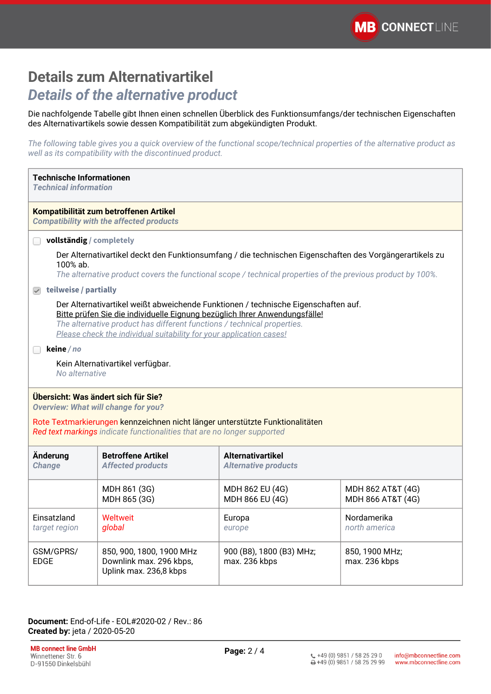### **Details zum Alternativartikel** *Details of the alternative product*

Die nachfolgende Tabelle gibt Ihnen einen schnellen Überblick des Funktionsumfangs/der technischen Eigenschaften des Alternativartikels sowie dessen Kompatibilität zum abgekündigten Produkt.

*The following table gives you a quick overview of the functional scope/technical properties of the alternative product as well as its compatibility with the discontinued product.*

| <b>Technische Informationen</b><br><b>Technical information</b>                                                                                                                                                                                                                                                                                                                         |                                                                                                                                                                                                                         |                                                         |                                        |
|-----------------------------------------------------------------------------------------------------------------------------------------------------------------------------------------------------------------------------------------------------------------------------------------------------------------------------------------------------------------------------------------|-------------------------------------------------------------------------------------------------------------------------------------------------------------------------------------------------------------------------|---------------------------------------------------------|----------------------------------------|
|                                                                                                                                                                                                                                                                                                                                                                                         | Kompatibilität zum betroffenen Artikel<br><b>Compatibility with the affected products</b>                                                                                                                               |                                                         |                                        |
| vollständig / completely                                                                                                                                                                                                                                                                                                                                                                |                                                                                                                                                                                                                         |                                                         |                                        |
| 100% ab.                                                                                                                                                                                                                                                                                                                                                                                | Der Alternativartikel deckt den Funktionsumfang / die technischen Eigenschaften des Vorgängerartikels zu<br>The alternative product covers the functional scope / technical properties of the previous product by 100%. |                                                         |                                        |
| $\sqrt{ }$ teilweise / partially                                                                                                                                                                                                                                                                                                                                                        |                                                                                                                                                                                                                         |                                                         |                                        |
| Der Alternativartikel weißt abweichende Funktionen / technische Eigenschaften auf.<br>Bitte prüfen Sie die individuelle Eignung bezüglich Ihrer Anwendungsfälle!<br>The alternative product has different functions / technical properties.<br>Please check the individual suitability for your application cases!<br>keine / no<br>Kein Alternativartikel verfügbar.<br>No alternative |                                                                                                                                                                                                                         |                                                         |                                        |
| Übersicht: Was ändert sich für Sie?<br><b>Overview: What will change for you?</b><br>Rote Textmarkierungen kennzeichnen nicht länger unterstützte Funktionalitäten<br>Red text markings indicate functionalities that are no longer supported                                                                                                                                           |                                                                                                                                                                                                                         |                                                         |                                        |
| Änderung<br><b>Change</b>                                                                                                                                                                                                                                                                                                                                                               | <b>Betroffene Artikel</b><br><b>Affected products</b>                                                                                                                                                                   | <b>Alternativartikel</b><br><b>Alternative products</b> |                                        |
|                                                                                                                                                                                                                                                                                                                                                                                         | MDH 861 (3G)<br>MDH 865 (3G)                                                                                                                                                                                            | MDH 862 EU (4G)<br>MDH 866 EU (4G)                      | MDH 862 AT&T (4G)<br>MDH 866 AT&T (4G) |
| Einsatzland<br>target region                                                                                                                                                                                                                                                                                                                                                            | <b>Weltweit</b><br>global                                                                                                                                                                                               | Europa<br>europe                                        | Nordamerika<br>north america           |
| GSM/GPRS/<br><b>EDGE</b>                                                                                                                                                                                                                                                                                                                                                                | 850, 900, 1800, 1900 MHz<br>Downlink max. 296 kbps,<br>Uplink max. 236,8 kbps                                                                                                                                           | 900 (B8), 1800 (B3) MHz;<br>max. 236 kbps               | 850, 1900 MHz;<br>max. 236 kbps        |

**Document:** End-of-Life - EOL#2020-02 / Rev.: 86 **Created by:** jeta / 2020-05-20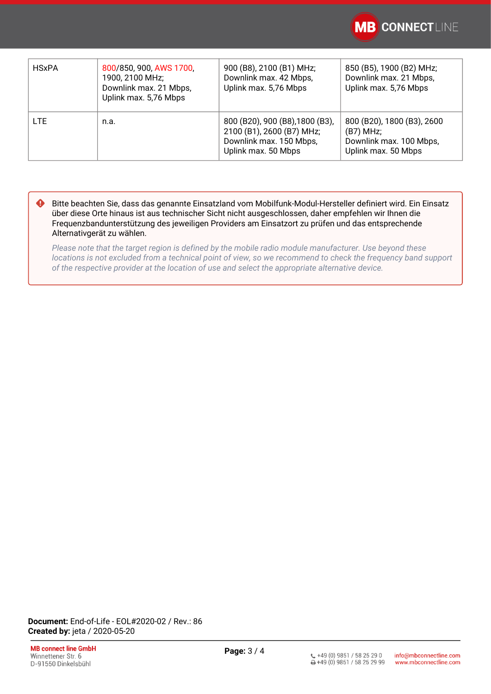

| <b>HSxPA</b> | 800/850, 900, AWS 1700,<br>1900, 2100 MHz;<br>Downlink max. 21 Mbps,<br>Uplink max. 5,76 Mbps | 900 (B8), 2100 (B1) MHz;<br>Downlink max. 42 Mbps,<br>Uplink max. 5,76 Mbps                                    | 850 (B5), 1900 (B2) MHz;<br>Downlink max. 21 Mbps,<br>Uplink max. 5,76 Mbps                 |
|--------------|-----------------------------------------------------------------------------------------------|----------------------------------------------------------------------------------------------------------------|---------------------------------------------------------------------------------------------|
| <b>LTE</b>   | n.a.                                                                                          | 800 (B20), 900 (B8), 1800 (B3),<br>2100 (B1), 2600 (B7) MHz;<br>Downlink max. 150 Mbps,<br>Uplink max. 50 Mbps | 800 (B20), 1800 (B3), 2600<br>$(B7)$ MHz;<br>Downlink max. 100 Mbps,<br>Uplink max. 50 Mbps |

Bitte beachten Sie, dass das genannte Einsatzland vom Mobilfunk-Modul-Hersteller definiert wird. Ein Einsatz über diese Orte hinaus ist aus technischer Sicht nicht ausgeschlossen, daher empfehlen wir Ihnen die Frequenzbandunterstützung des jeweiligen Providers am Einsatzort zu prüfen und das entsprechende Alternativgerät zu wählen.  $\bullet$ 

*Please note that the target region is defined by the mobile radio module manufacturer. Use beyond these locations is not excluded from a technical point of view, so we recommend to check the frequency band support of the respective provider at the location of use and select the appropriate alternative device.*

**Document:** End-of-Life - EOL#2020-02 / Rev.: 86 **Created by:** jeta / 2020-05-20